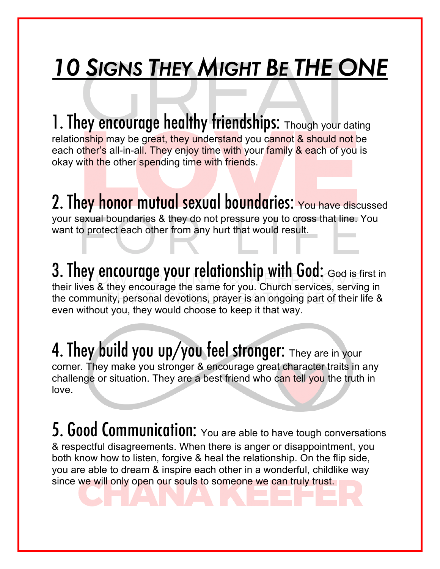# *10 SIGNS THEY MIGHT BE THE ONE*

1. They encourage healthy friendships: Though your dating relationship may be great, they understand you cannot & should not be each other's all-in-all. They enjoy time with your family & each of you is okay with the other spending time with friends.

2. They honor mutual sexual boundaries: You have discussed your sexual boundaries & they do not pressure you to cross that line. You want to protect each other from any hurt that would result.

3. They encourage your relationship with God: God is first in their lives & they encourage the same for you. Church services, serving in the community, personal devotions, prayer is an ongoing part of their life & even without you, they would choose to keep it that way.

#### 4. They build you up/you feel stronger: They are in your corner. They make you stronger & encourage great character traits in any

challenge or situation. They are a best friend who can tell you the truth in love.

5. Good Communication: You are able to have tough conversations & respectful disagreements. When there is anger or disappointment, you both know how to listen, forgive & heal the relationship. On the flip side, you are able to dream & inspire each other in a wonderful, childlike way since we will only open our souls to someone we can truly trust.